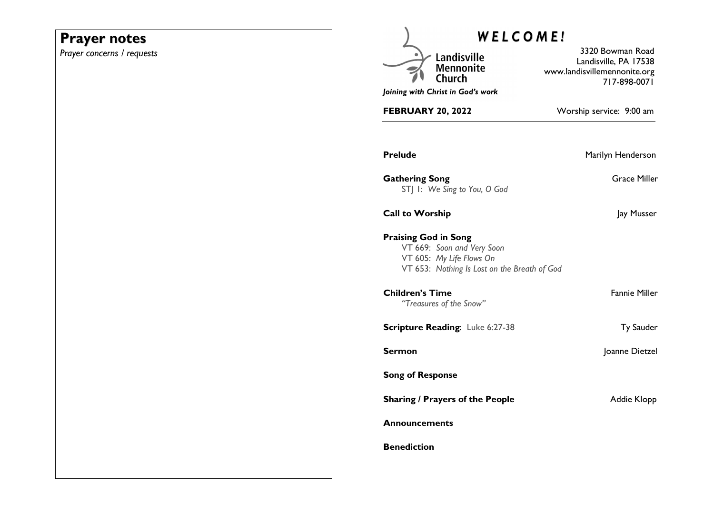# **Prayer notes**

*Prayer concerns / requests* 

| <b>WELCOME!</b>                                                                                                                       |                                                                                           |
|---------------------------------------------------------------------------------------------------------------------------------------|-------------------------------------------------------------------------------------------|
| Landisville<br>Mennonite                                                                                                              | 3320 Bowman Road<br>Landisville, PA 17538<br>www.landisvillemennonite.org<br>717-898-0071 |
| Joining with Christ in God's work                                                                                                     |                                                                                           |
| <b>FEBRUARY 20, 2022</b>                                                                                                              | Worship service: 9:00 am                                                                  |
| <b>Prelude</b>                                                                                                                        | Marilyn Henderson                                                                         |
| <b>Gathering Song</b><br>STJ I: We Sing to You, O God                                                                                 | <b>Grace Miller</b>                                                                       |
| <b>Call to Worship</b>                                                                                                                | Jay Musser                                                                                |
| <b>Praising God in Song</b><br>VT 669: Soon and Very Soon<br>VT 605: My Life Flows On<br>VT 653: Nothing Is Lost on the Breath of God |                                                                                           |
| Children's Time<br>"Treasures of the Snow"                                                                                            | <b>Fannie Miller</b>                                                                      |
| <b>Scripture Reading: Luke 6:27-38</b>                                                                                                | Ty Sauder                                                                                 |
| Sermon                                                                                                                                | Joanne Dietzel                                                                            |
| <b>Song of Response</b>                                                                                                               |                                                                                           |
| <b>Sharing / Prayers of the People</b>                                                                                                | Addie Klopp                                                                               |
| Announcements                                                                                                                         |                                                                                           |
| <b>Benediction</b>                                                                                                                    |                                                                                           |